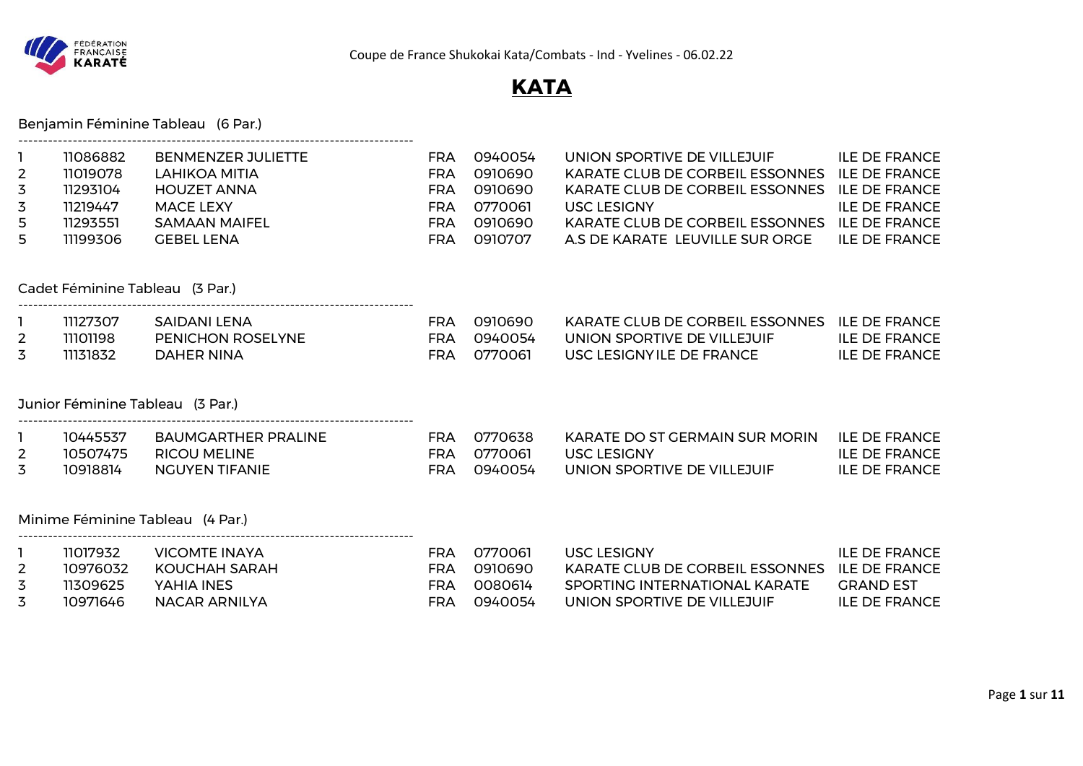

# **KATA**

## Benjamin Féminine Tableau (6 Par.)

--------------------------------------------------------------------------------

| $\overline{2}$<br>3<br>3<br>5<br>5  | 11086882<br>11019078<br>11293104<br>11219447<br>11293551<br>11199306 | <b>BENMENZER JULIETTE</b><br><b>LAHIKOA MITIA</b><br><b>HOUZET ANNA</b><br><b>MACE LEXY</b><br><b>SAMAAN MAIFEL</b><br><b>GEBEL LENA</b> | <b>FRA</b><br><b>FRA</b><br><b>FRA</b><br><b>FRA</b><br><b>FRA</b><br><b>FRA</b> | 0940054<br>0910690<br>0910690<br>0770061<br>0910690<br>0910707 | UNION SPORTIVE DE VILLEJUIF<br>KARATE CLUB DE CORBEIL ESSONNES<br>KARATE CLUB DE CORBEIL ESSONNES<br>USC LESIGNY<br>KARATE CLUB DE CORBEIL ESSONNES<br>A.S DE KARATE LEUVILLE SUR ORGE | <b>ILE DE FRANCE</b><br><b>ILE DE FRANCE</b><br><b>ILE DE FRANCE</b><br><b>ILE DE FRANCE</b><br><b>ILE DE FRANCE</b><br><b>ILE DE FRANCE</b> |
|-------------------------------------|----------------------------------------------------------------------|------------------------------------------------------------------------------------------------------------------------------------------|----------------------------------------------------------------------------------|----------------------------------------------------------------|----------------------------------------------------------------------------------------------------------------------------------------------------------------------------------------|----------------------------------------------------------------------------------------------------------------------------------------------|
|                                     |                                                                      | Cadet Féminine Tableau (3 Par.)                                                                                                          |                                                                                  |                                                                |                                                                                                                                                                                        |                                                                                                                                              |
| $\mathbf{1}$<br>$\overline{2}$<br>3 | 11127307<br>11101198<br>11131832                                     | SAIDANI LENA<br><b>PENICHON ROSELYNE</b><br><b>DAHER NINA</b>                                                                            | <b>FRA</b><br><b>FRA</b><br><b>FRA</b>                                           | 0910690<br>0940054<br>0770061                                  | KARATE CLUB DE CORBEIL ESSONNES ILE DE FRANCE<br>UNION SPORTIVE DE VILLEJUIF<br>USC LESIGNYILE DE FRANCE                                                                               | <b>ILE DE FRANCE</b><br><b>ILE DE FRANCE</b>                                                                                                 |
|                                     |                                                                      | Junior Féminine Tableau (3 Par.)                                                                                                         |                                                                                  |                                                                |                                                                                                                                                                                        |                                                                                                                                              |
| $\overline{2}$<br>3                 | 10445537<br>10507475<br>10918814                                     | BAUMGARTHER PRALINE<br><b>RICOU MELINE</b><br><b>NGUYEN TIFANIE</b>                                                                      | FRA<br><b>FRA</b><br><b>FRA</b>                                                  | 0770638<br>0770061<br>0940054                                  | KARATE DO ST GERMAIN SUR MORIN<br>USC LESIGNY<br>UNION SPORTIVE DE VILLEJUIF                                                                                                           | <b>ILE DE FRANCE</b><br><b>ILE DE FRANCE</b><br><b>ILE DE FRANCE</b>                                                                         |
|                                     |                                                                      | Minime Féminine Tableau (4 Par.)                                                                                                         |                                                                                  |                                                                |                                                                                                                                                                                        |                                                                                                                                              |
| $\overline{2}$<br>3<br>3            | 11017932<br>10976032<br>11309625<br>10971646                         | <b>VICOMTE INAYA</b><br>KOUCHAH SARAH<br>YAHIA INES<br><b>NACAR ARNILYA</b>                                                              | <b>FRA</b><br><b>FRA</b><br><b>FRA</b><br><b>FRA</b>                             | 0770061<br>0910690<br>0080614<br>0940054                       | USC LESIGNY<br>KARATE CLUB DE CORBEIL ESSONNES<br>SPORTING INTERNATIONAL KARATE<br>UNION SPORTIVE DE VILLEJUIF                                                                         | <b>ILE DE FRANCE</b><br><b>ILE DE FRANCE</b><br><b>GRAND EST</b><br><b>ILE DE FRANCE</b>                                                     |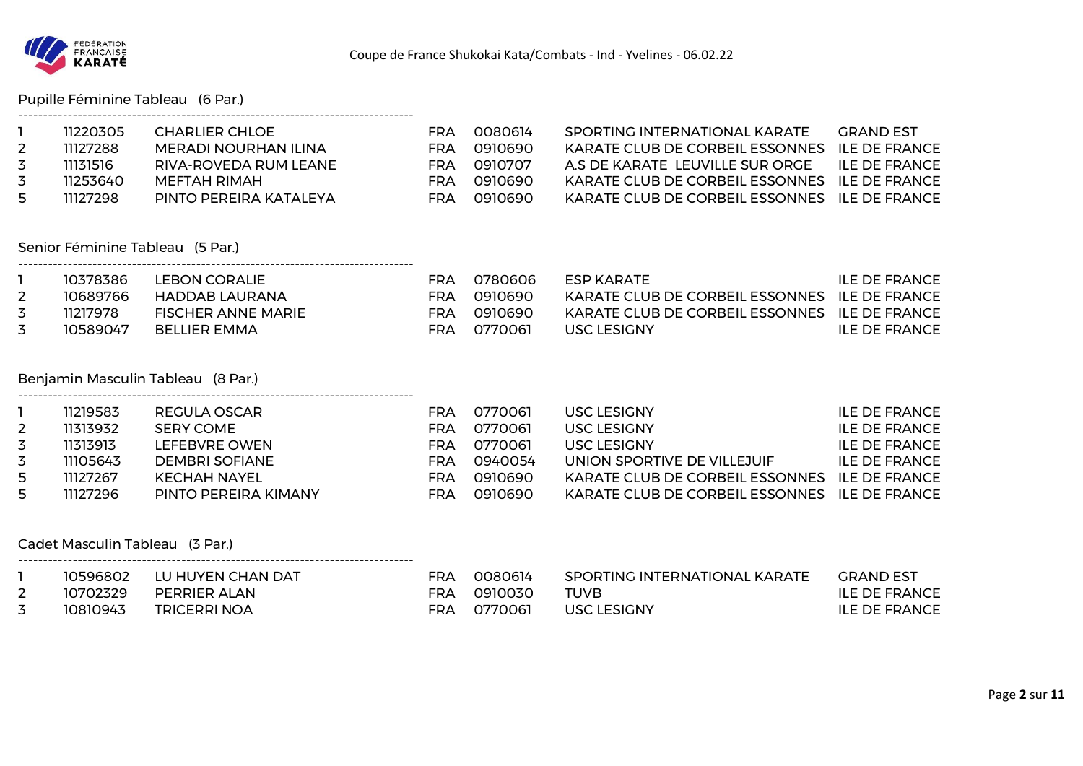

## Pupille Féminine Tableau (6 Par.)

|   | 11220305 | CHARLIER CHLOE         | FRA | 0080614 | SPORTING INTERNATIONAL KARATE                 | GRAND EST            |
|---|----------|------------------------|-----|---------|-----------------------------------------------|----------------------|
|   | 11127288 | MERADI NOURHAN ILINA   | FRA | 0910690 | KARATE CLUB DE CORBEIL ESSONNES ILE DE FRANCE |                      |
| 3 | 11131516 | RIVA-ROVEDA RUM LEANE  | FRA | 0910707 | A S DE KARATE LEUVILLE SUR ORGE               | <b>ILE DE FRANCE</b> |
| 3 | 11253640 | MEFTAH RIMAH           | FRA | 0910690 | KARATE CLUB DE CORBEIL ESSONNES ILE DE FRANCE |                      |
| 5 | 11127298 | PINTO PEREIRA KATALEYA | FRA | 0910690 | KARATE CLUB DE CORBEIL ESSONNES ILE DE FRANCE |                      |

### Senior Féminine Tableau (5 Par.)

| 10378386 | LEBON CORALIE      | FRA | .0780606 | <b>FSP KARATE</b>                               | ILE DE FRANCE |
|----------|--------------------|-----|----------|-------------------------------------------------|---------------|
| 10689766 | HADDAB LAURANA     | FRA | _0910690 | KARATE CLUB DE CORBEIL ESSONNES . ILE DE FRANCE |               |
| 11217978 | FISCHER ANNE MARIE | FRA | _0910690 | KARATE CLUB DE CORBEIL ESSONNES ILE DE FRANCE   |               |
| 10589047 | BELLIER EMMA       | FRA | _0770061 | USC LESIGNY                                     | ILE DE FRANCE |

### Benjamin Masculin Tableau (8 Par.)

--------------------------------------------------------------------------------

--------------------------------------------------------------------------------

--------------------------------------------------------------------------------

|    | 11219583 | REGULA OSCAR          | FRA | 0770061   | USC LESIGNY                                   | ILE DE FRANCE |
|----|----------|-----------------------|-----|-----------|-----------------------------------------------|---------------|
|    | 11313932 | SERY COME             | FRA | 0770061   | USC LESIGNY                                   | ILE DE FRANCE |
| 3  | 11313913 | LEFEBVRE OWEN         | FRA | 0770061   | USC LESIGNY                                   | ILE DE FRANCE |
| 3  | 11105643 | <b>DEMBRI SOFIANE</b> | FRA | 0940054   | UNION SPORTIVE DE VILLEJUIF                   | ILE DE FRANCE |
| 5. | 11127267 | KECHAH NAYEL          | FRA | . 0910690 | KARATE CLUB DE CORBEIL ESSONNES ILE DE FRANCE |               |
| 5  | 11127296 | PINTO PEREIRA KIMANY  | FRA | 0910690   | KARATE CLUB DE CORBEIL ESSONNES ILE DE FRANCE |               |

Cadet Masculin Tableau (3 Par.)

|   | 10596802 | LU HUYEN CHAN DAT | FRA | _0080614 | SPORTING INTERNATIONAL KARATE | <b>GRAND EST</b> |
|---|----------|-------------------|-----|----------|-------------------------------|------------------|
| ∼ | 10702329 | PERRIER ALAN      | FRA | 0910030  | <b>TUVB</b>                   | ILE DE FRANCE    |
|   | 10810943 | TRICERRI NOA      | FRA | 0770061  | <b>USC LESIGNY</b>            | ILE DE FRANCE    |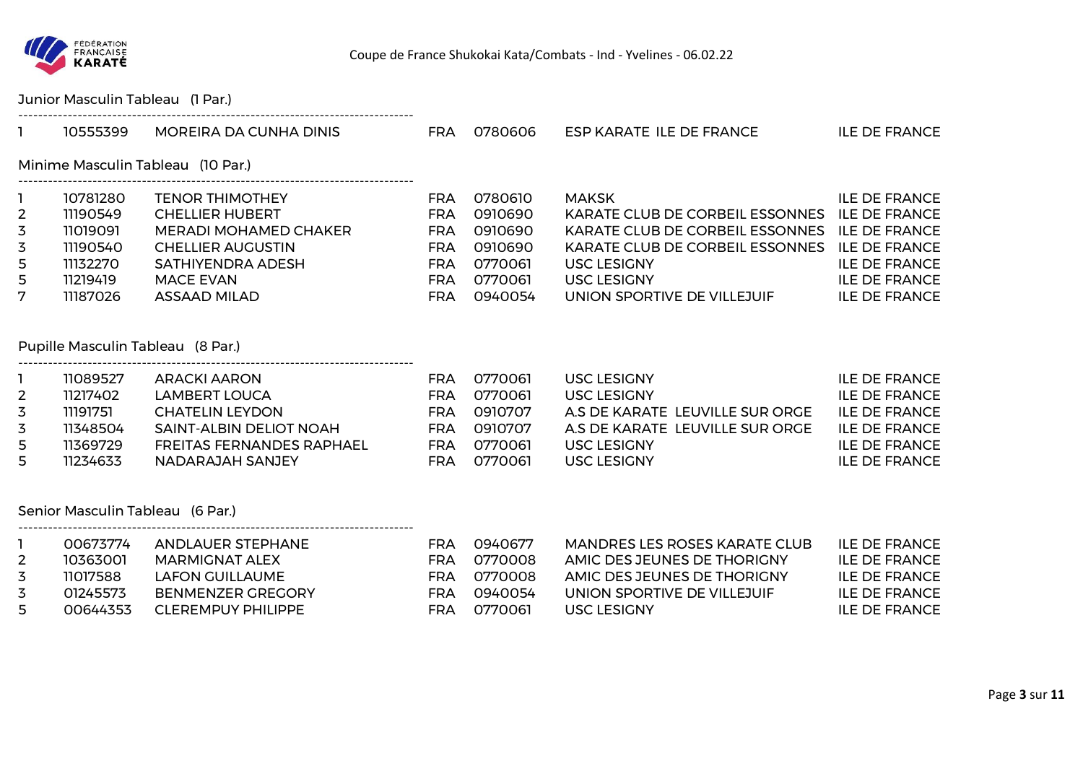

## Junior Masculin Tableau (1 Par.)

|   | 10555399                          | MOREIRA DA CUNHA DINIS   | FRA        | 0780606 | ESP KARATE ILE DE FRANCE        | ILE DE FRANCE        |  |  |  |  |
|---|-----------------------------------|--------------------------|------------|---------|---------------------------------|----------------------|--|--|--|--|
|   | Minime Masculin Tableau (10 Par.) |                          |            |         |                                 |                      |  |  |  |  |
|   | 10781280                          | <b>TENOR THIMOTHEY</b>   | FRA        | 0780610 | <b>MAKSK</b>                    | ILE DE FRANCE        |  |  |  |  |
| 2 | 11190549                          | <b>CHELLIER HUBERT</b>   | FRA        | 0910690 | KARATE CLUB DE CORBEIL ESSONNES | <b>ILE DE FRANCE</b> |  |  |  |  |
| 3 | 11019091                          | MERADI MOHAMED CHAKER    | FRA        | 0910690 | KARATE CLUB DE CORBEIL ESSONNES | <b>ILE DE FRANCE</b> |  |  |  |  |
| 3 | 11190540                          | <b>CHELLIER AUGUSTIN</b> | <b>FRA</b> | 0910690 | KARATE CLUB DE CORBEIL ESSONNES | <b>ILE DE FRANCE</b> |  |  |  |  |
| 5 | 11132270                          | SATHIYENDRA ADESH        | <b>FRA</b> | 0770061 | <b>USC LESIGNY</b>              | <b>ILE DE FRANCE</b> |  |  |  |  |
| 5 | 11219419                          | MACE EVAN                | FRA        | 0770061 | <b>USC LESIGNY</b>              | <b>ILE DE FRANCE</b> |  |  |  |  |
| 7 | 11187026                          | ASSAAD MILAD             | <b>FRA</b> | 0940054 | UNION SPORTIVE DE VILLEJUIF     | <b>ILE DE FRANCE</b> |  |  |  |  |

## Pupille Masculin Tableau (8 Par.)

--------------------------------------------------------------------------------

--------------------------------------------------------------------------------

|   | 11089527 | ARACKI AARON              | FRA | 0770061 | USC LESIGNY                     | <b>ILE DE FRANCE</b> |
|---|----------|---------------------------|-----|---------|---------------------------------|----------------------|
|   | 11217402 | LAMBERT LOUCA             | FRA | 0770061 | USC LESIGNY                     | <b>ILE DE FRANCE</b> |
|   | 11191751 | CHATELIN LEYDON           | FRA | 0910707 | A S DE KARATE LEUVILLE SUR ORGE | <b>ILE DE FRANCE</b> |
|   | 11348504 | SAINT-ALBIN DELIOT NOAH   | FRA | 0910707 | A S DE KARATE LEUVILLE SUR ORGE | <b>ILE DE FRANCE</b> |
| 5 | 11369729 | FREITAS FERNANDES RAPHAEL | FRA | 0770061 | USC LESIGNY                     | <b>ILE DE FRANCE</b> |
| 5 | 11234633 | NADARAJAH SANJEY          | FRA | 0770061 | USC LESIGNY                     | <b>ILE DE FRANCE</b> |

### Senior Masculin Tableau (6 Par.)

| 00673774 | ANDLAUER STEPHANE  | FRA | 0940677  | MANDRES LES ROSES KARATE CLUB | ILE DE FRANCE        |
|----------|--------------------|-----|----------|-------------------------------|----------------------|
| 10363001 | MARMIGNAT ALEX     | FRA | 0770008  | AMIC DES JEUNES DE THORIGNY   | <b>ILE DE FRANCE</b> |
| 11017588 | LAFON GUILLAUME    | FRA | 0770008  | AMIC DES JEUNES DE THORIGNY   | <b>ILE DE FRANCE</b> |
| 01245573 | BENMENZER GREGORY  | FRA | 0940054  | UNION SPORTIVE DE VILLEJUIF   | <b>ILE DE FRANCE</b> |
| 00644353 | CLEREMPUY PHILIPPE | FRA | _0770061 | USC LESIGNY                   | <b>ILE DE FRANCE</b> |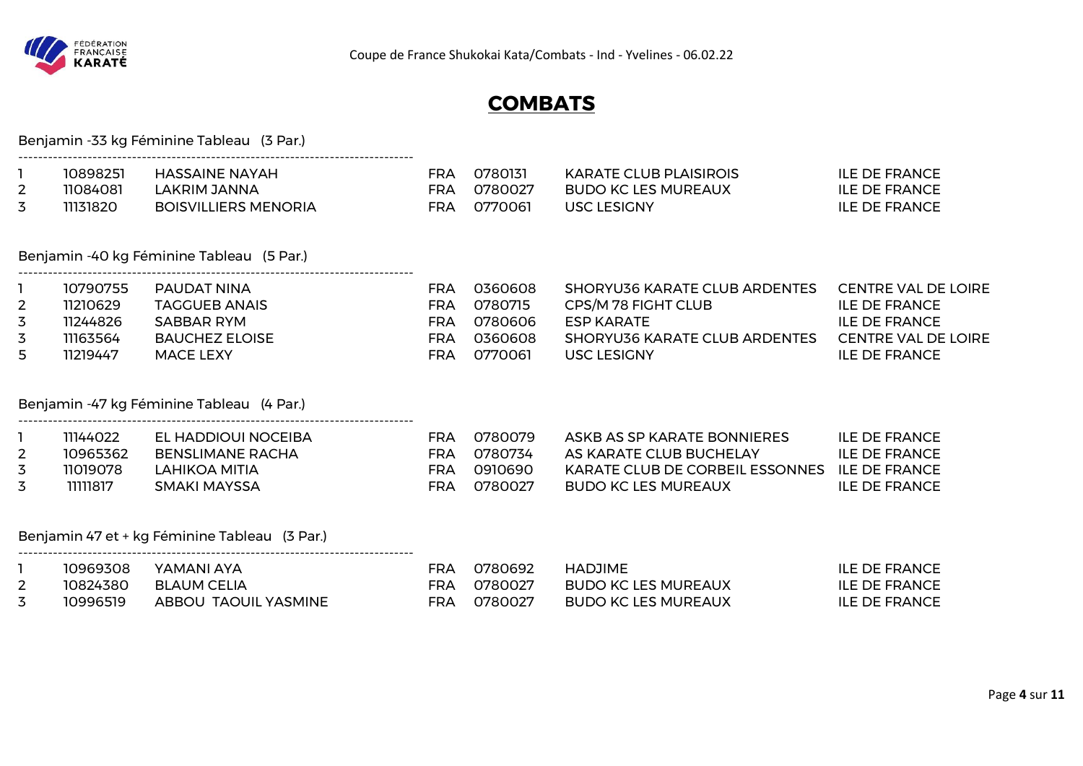

# **COMBATS**

|                                       |                                                          | Benjamin -33 kg Féminine Tableau (3 Par.)                                                             |                                                                    |                                                     |                                                                                                                                                |                                                                                                                                  |
|---------------------------------------|----------------------------------------------------------|-------------------------------------------------------------------------------------------------------|--------------------------------------------------------------------|-----------------------------------------------------|------------------------------------------------------------------------------------------------------------------------------------------------|----------------------------------------------------------------------------------------------------------------------------------|
| 1<br>$\overline{2}$<br>3              | 10898251<br>11084081<br>11131820                         | <b>HASSAINE NAYAH</b><br><b>LAKRIM JANNA</b><br><b>BOISVILLIERS MENORIA</b>                           | <b>FRA</b><br><b>FRA</b><br><b>FRA</b>                             | 0780131<br>0780027<br>0770061                       | <b>KARATE CLUB PLAISIROIS</b><br><b>BUDO KC LES MUREAUX</b><br><b>USC LESIGNY</b>                                                              | <b>ILE DE FRANCE</b><br><b>ILE DE FRANCE</b><br><b>ILE DE FRANCE</b>                                                             |
|                                       |                                                          | Benjamin -40 kg Féminine Tableau (5 Par.)                                                             |                                                                    |                                                     |                                                                                                                                                |                                                                                                                                  |
| 2<br>3<br>3<br>5                      | 10790755<br>11210629<br>11244826<br>11163564<br>11219447 | PAUDAT NINA<br><b>TAGGUEB ANAIS</b><br><b>SABBAR RYM</b><br><b>BAUCHEZ ELOISE</b><br><b>MACE LEXY</b> | <b>FRA</b><br><b>FRA</b><br><b>FRA</b><br><b>FRA</b><br><b>FRA</b> | 0360608<br>0780715<br>0780606<br>0360608<br>0770061 | <b>SHORYU36 KARATE CLUB ARDENTES</b><br>CPS/M 78 FIGHT CLUB<br><b>ESP KARATE</b><br><b>SHORYU36 KARATE CLUB ARDENTES</b><br><b>USC LESIGNY</b> | <b>CENTRE VAL DE LOIRE</b><br><b>ILE DE FRANCE</b><br><b>ILE DE FRANCE</b><br><b>CENTRE VAL DE LOIRE</b><br><b>ILE DE FRANCE</b> |
|                                       |                                                          | Benjamin -47 kg Féminine Tableau (4 Par.)                                                             |                                                                    |                                                     |                                                                                                                                                |                                                                                                                                  |
| $\overline{2}$<br>$\overline{3}$<br>3 | 11144022<br>10965362<br>11019078<br>1111817              | EL HADDIOUI NOCEIBA<br><b>BENSLIMANE RACHA</b><br><b>LAHIKOA MITIA</b><br><b>SMAKI MAYSSA</b>         | FRA<br><b>FRA</b><br><b>FRA</b><br><b>FRA</b>                      | 0780079<br>0780734<br>0910690<br>0780027            | ASKB AS SP KARATE BONNIERES<br>AS KARATE CLUB BUCHELAY<br>KARATE CLUB DE CORBEIL ESSONNES ILE DE FRANCE<br><b>BUDO KC LES MUREAUX</b>          | <b>ILE DE FRANCE</b><br><b>ILE DE FRANCE</b><br><b>ILE DE FRANCE</b>                                                             |
|                                       |                                                          | Benjamin 47 et + kg Féminine Tableau (3 Par.)                                                         |                                                                    |                                                     |                                                                                                                                                |                                                                                                                                  |
| 1<br>$\overline{2}$<br>3              | 10969308<br>10824380<br>10996519                         | YAMANI AYA<br><b>BLAUM CELIA</b><br>ABBOU TAOUIL YASMINE                                              | FRA<br><b>FRA</b><br><b>FRA</b>                                    | 0780692<br>0780027<br>0780027                       | <b>HADJIME</b><br><b>BUDO KC LES MUREAUX</b><br><b>BUDO KC LES MUREAUX</b>                                                                     | <b>ILE DE FRANCE</b><br><b>ILE DE FRANCE</b><br><b>ILE DE FRANCE</b>                                                             |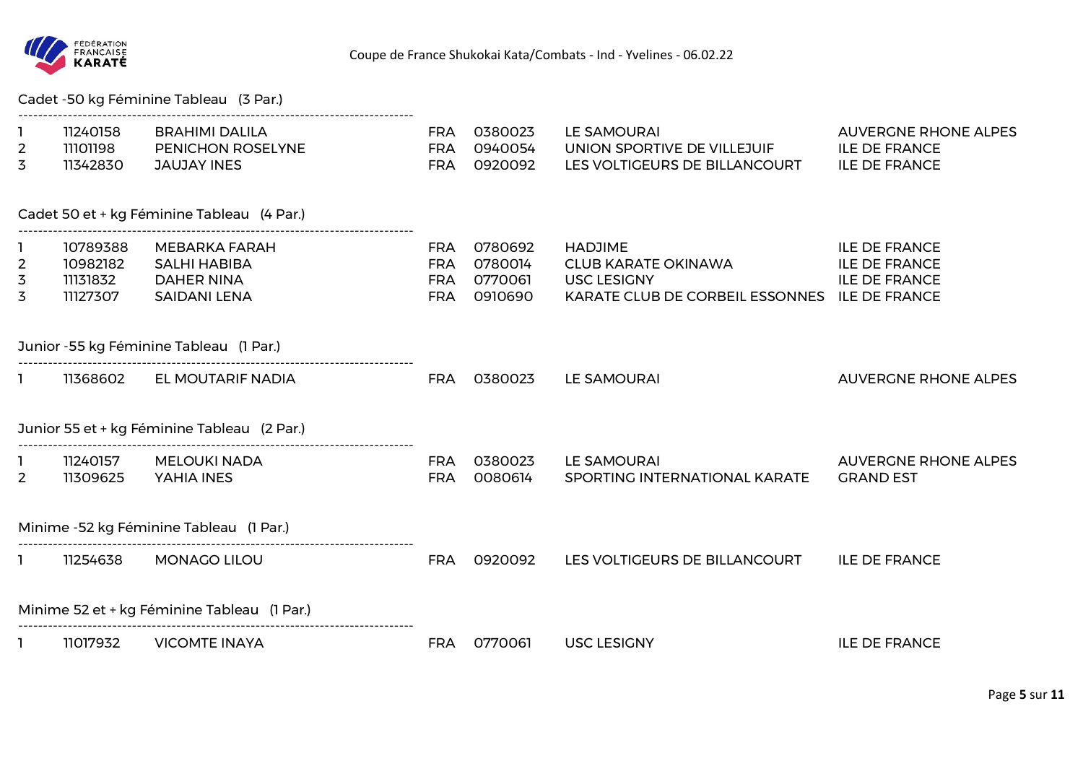

Cadet -50 kg Féminine Tableau (3 Par.)

| $\overline{2}$<br>3 | 11240158<br>11101198<br>11342830 | <b>BRAHIMI DALILA</b><br>PENICHON ROSELYNE<br><b>JAUJAY INES</b> | <b>FRA</b><br><b>FRA</b><br><b>FRA</b> | 0380023<br>0940054<br>0920092 | LE SAMOURAI<br>UNION SPORTIVE DE VILLEJUIF<br>LES VOLTIGEURS DE BILLANCOURT | <b>AUVERGNE RHONE ALPES</b><br><b>ILE DE FRANCE</b><br><b>ILE DE FRANCE</b> |
|---------------------|----------------------------------|------------------------------------------------------------------|----------------------------------------|-------------------------------|-----------------------------------------------------------------------------|-----------------------------------------------------------------------------|
|                     |                                  |                                                                  |                                        |                               |                                                                             |                                                                             |
|                     |                                  | Cadet 50 et + kg Féminine Tableau (4 Par.)                       |                                        |                               |                                                                             |                                                                             |
|                     | 10789388                         | MEBARKA FARAH                                                    | <b>FRA</b>                             | 0780692                       | <b>HADJIME</b>                                                              | <b>ILE DE FRANCE</b>                                                        |
| $\mathbf{2}$        | 10982182                         | <b>SALHI HABIBA</b>                                              | <b>FRA</b>                             | 0780014                       | <b>CLUB KARATE OKINAWA</b>                                                  | <b>ILE DE FRANCE</b>                                                        |
| 3                   | 11131832                         | <b>DAHER NINA</b>                                                | FRA                                    | 0770061                       | <b>USC LESIGNY</b>                                                          | <b>ILE DE FRANCE</b>                                                        |
| 3                   | 11127307                         | <b>SAIDANI LENA</b>                                              | <b>FRA</b>                             | 0910690                       | KARATE CLUB DE CORBEIL ESSONNES ILE DE FRANCE                               |                                                                             |
|                     |                                  | Junior -55 kg Féminine Tableau (1 Par.)                          |                                        |                               |                                                                             |                                                                             |
|                     | 11368602                         | EL MOUTARIF NADIA                                                | FRA                                    | 0380023                       | LE SAMOURAI                                                                 | <b>AUVERGNE RHONE ALPES</b>                                                 |
|                     |                                  | Junior 55 et + kg Féminine Tableau (2 Par.)                      |                                        |                               |                                                                             |                                                                             |
|                     | 11240157                         | <b>MELOUKI NADA</b>                                              | <b>FRA</b>                             | 0380023                       | <b>LE SAMOURAI</b>                                                          | <b>AUVERGNE RHONE ALPES</b>                                                 |
| $\overline{2}$      | 11309625                         | YAHIA INES                                                       | <b>FRA</b>                             | 0080614                       | SPORTING INTERNATIONAL KARATE                                               | <b>GRAND EST</b>                                                            |
|                     |                                  | Minime -52 kg Féminine Tableau (1 Par.)                          |                                        |                               |                                                                             |                                                                             |
|                     | 11254638                         | <b>MONAGO LILOU</b>                                              | <b>FRA</b>                             | 0920092                       | LES VOLTIGEURS DE BILLANCOURT                                               | <b>ILE DE FRANCE</b>                                                        |
|                     |                                  | Minime 52 et + kg Féminine Tableau (1 Par.)                      |                                        |                               |                                                                             |                                                                             |
|                     | 11017932                         | <b>VICOMTE INAYA</b>                                             | <b>FRA</b>                             | 0770061                       | <b>USC LESIGNY</b>                                                          | <b>ILE DE FRANCE</b>                                                        |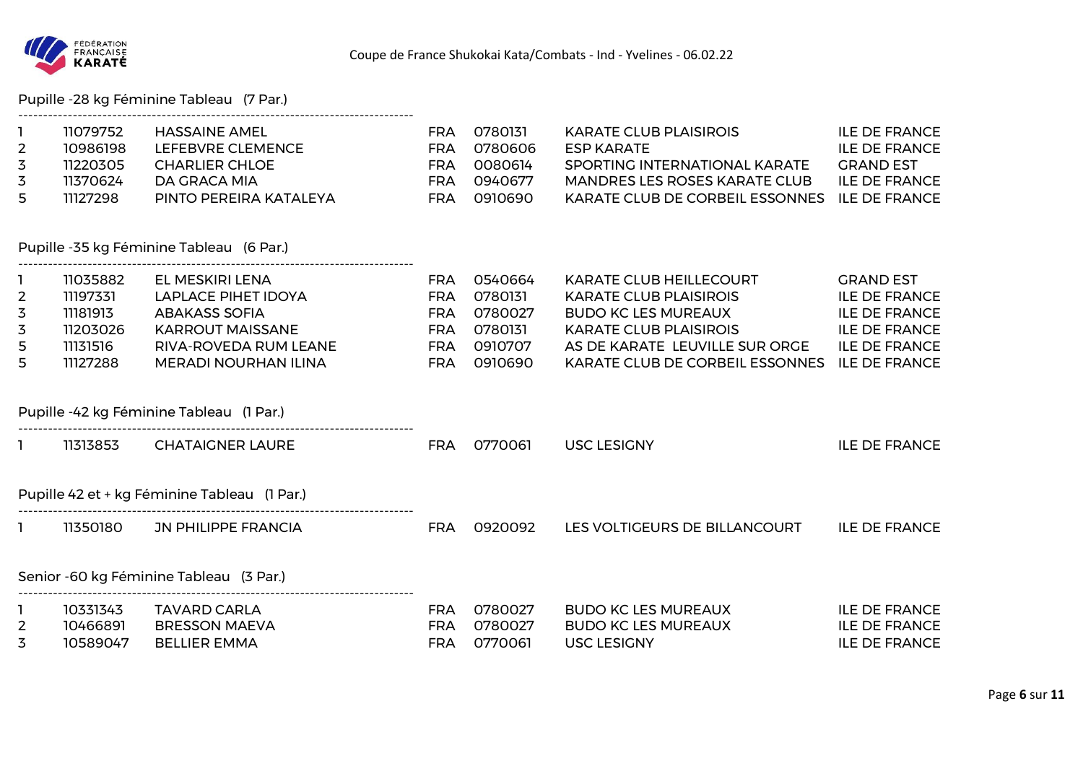

Pupille -28 kg Féminine Tableau (7 Par.)

| $\overline{2}$<br>3<br>3<br>5                    | 11079752<br>10986198<br>11220305<br>11370624<br>11127298             | <b>HASSAINE AMEL</b><br>LEFEBVRE CLEMENCE<br><b>CHARLIER CHLOE</b><br>DA GRACA MIA<br>PINTO PEREIRA KATALEYA                                      | <b>FRA</b><br><b>FRA</b><br><b>FRA</b><br><b>FRA</b><br><b>FRA</b>               | 0780131<br>0780606<br>0080614<br>0940677<br>0910690            | <b>KARATE CLUB PLAISIROIS</b><br><b>ESP KARATE</b><br>SPORTING INTERNATIONAL KARATE<br><b>MANDRES LES ROSES KARATE CLUB</b><br>KARATE CLUB DE CORBEIL ESSONNES                                      | <b>ILE DE FRANCE</b><br><b>ILE DE FRANCE</b><br><b>GRAND EST</b><br><b>ILE DE FRANCE</b><br><b>ILE DE FRANCE</b>                         |
|--------------------------------------------------|----------------------------------------------------------------------|---------------------------------------------------------------------------------------------------------------------------------------------------|----------------------------------------------------------------------------------|----------------------------------------------------------------|-----------------------------------------------------------------------------------------------------------------------------------------------------------------------------------------------------|------------------------------------------------------------------------------------------------------------------------------------------|
|                                                  |                                                                      | Pupille -35 kg Féminine Tableau (6 Par.)                                                                                                          |                                                                                  |                                                                |                                                                                                                                                                                                     |                                                                                                                                          |
| $\overline{2}$<br>3<br>3<br>5<br>5               | 11035882<br>11197331<br>11181913<br>11203026<br>11131516<br>11127288 | EL MESKIRI LENA<br>LAPLACE PIHET IDOYA<br><b>ABAKASS SOFIA</b><br><b>KARROUT MAISSANE</b><br>RIVA-ROVEDA RUM LEANE<br><b>MERADI NOURHAN ILINA</b> | <b>FRA</b><br><b>FRA</b><br><b>FRA</b><br><b>FRA</b><br><b>FRA</b><br><b>FRA</b> | 0540664<br>0780131<br>0780027<br>0780131<br>0910707<br>0910690 | <b>KARATE CLUB HEILLECOURT</b><br><b>KARATE CLUB PLAISIROIS</b><br><b>BUDO KC LES MUREAUX</b><br><b>KARATE CLUB PLAISIROIS</b><br>AS DE KARATE LEUVILLE SUR ORGE<br>KARATE CLUB DE CORBEIL ESSONNES | <b>GRAND EST</b><br><b>ILE DE FRANCE</b><br><b>ILE DE FRANCE</b><br><b>ILE DE FRANCE</b><br><b>ILE DE FRANCE</b><br><b>ILE DE FRANCE</b> |
|                                                  |                                                                      | Pupille -42 kg Féminine Tableau (1 Par.)                                                                                                          |                                                                                  |                                                                |                                                                                                                                                                                                     |                                                                                                                                          |
|                                                  | 11313853                                                             | <b>CHATAIGNER LAURE</b>                                                                                                                           | <b>FRA</b>                                                                       | 0770061                                                        | <b>USC LESIGNY</b>                                                                                                                                                                                  | <b>ILE DE FRANCE</b>                                                                                                                     |
|                                                  |                                                                      | Pupille 42 et + kg Féminine Tableau (1 Par.)                                                                                                      |                                                                                  |                                                                |                                                                                                                                                                                                     |                                                                                                                                          |
|                                                  |                                                                      | 11350180 JN PHILIPPE FRANCIA                                                                                                                      | <b>FRA</b>                                                                       | 0920092                                                        | LES VOLTIGEURS DE BILLANCOURT                                                                                                                                                                       | <b>ILE DE FRANCE</b>                                                                                                                     |
|                                                  |                                                                      | Senior -60 kg Féminine Tableau (3 Par.)                                                                                                           |                                                                                  |                                                                |                                                                                                                                                                                                     |                                                                                                                                          |
| $\mathbf{1}$<br>$\overline{2}$<br>$\overline{3}$ | 10331343<br>10466891<br>10589047                                     | <b>TAVARD CARLA</b><br><b>BRESSON MAEVA</b><br><b>BELLIER EMMA</b>                                                                                | <b>FRA</b><br><b>FRA</b><br><b>FRA</b>                                           | 0780027<br>0780027<br>0770061                                  | <b>BUDO KC LES MUREAUX</b><br><b>BUDO KC LES MUREAUX</b><br><b>USC LESIGNY</b>                                                                                                                      | <b>ILE DE FRANCE</b><br><b>ILE DE FRANCE</b><br><b>ILE DE FRANCE</b>                                                                     |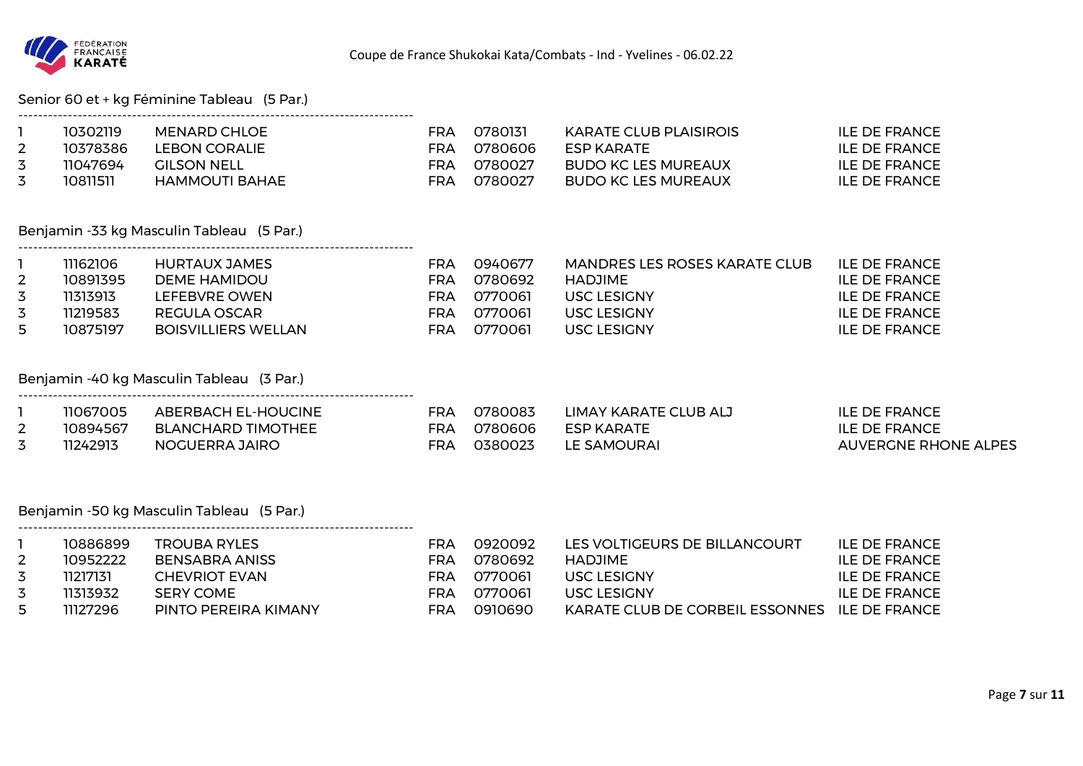

## Senior 60 et + kg Féminine Tableau (5 Par.)

|   | 10302119 | MENARD CHLOE          | FRA | 0780131 | KARATE CLUB PLAISIROIS | ILE DE FRANCE |
|---|----------|-----------------------|-----|---------|------------------------|---------------|
|   | 10378386 | LEBON CORALIE         | FRA | 0780606 | ESP KARATE             | ILE DE FRANCE |
| 3 | 11047694 | <b>GILSON NELL</b>    | FRA | 0780027 | BUDO KC LES MUREAUX    | ILE DE FRANCE |
|   | 10811511 | <b>HAMMOUTI BAHAE</b> | FRA | 0780027 | BUDO KC LES MUREAUX    | ILE DE FRANCE |

## Benjamin -33 kg Masculin Tableau (5 Par.)

--------------------------------------------------------------------------------

--------------------------------------------------------------------------------

--------------------------------------------------------------------------------

|   | 11162106 | HURTAUX JAMES       | FRA | 0940677 | MANDRES LES ROSES KARATE CLUB | ILE DE FRANCE |
|---|----------|---------------------|-----|---------|-------------------------------|---------------|
|   | 10891395 | DEME HAMIDOU        | FRA | 0780692 | HADJIME                       | ILE DE FRANCE |
| 3 | 11313913 | LEFEBVRE OWEN       | FRA | 0770061 | USC LESIGNY                   | ILE DE FRANCE |
|   | 11219583 | REGULA OSCAR        | FRA | 0770061 | USC LESIGNY                   | ILE DE FRANCE |
| 5 | 10875197 | BOISVILLIERS WELLAN | FRA | 0770061 | USC LESIGNY                   | ILE DE FRANCE |

## Benjamin -40 kg Masculin Tableau (3 Par.)

|          | 11067005 | ABERBACH EL-HOUCINE | FRA | 0780083 | LIMAY KARATE CLUB ALJ | ILE DE FRANCE        |
|----------|----------|---------------------|-----|---------|-----------------------|----------------------|
| <u>_</u> | 10894567 | BLANCHARD TIMOTHEE  | FRA | 0780606 | <b>ESP KARATE</b>     | <b>ILE DE FRANCE</b> |
| ٮ        | 11242913 | NOGUERRA JAIRO      | FRA | 0380023 | LE SAMOURAI           | AUVERGNE RHONE ALPES |

#### Benjamin -50 kg Masculin Tableau (5 Par.)

|     | 10886899 | TROUBA RYLES         | FRA | 0920092  | LES VOLTIGEURS DE BILLANCOURT                 | ILE DE FRANCE        |
|-----|----------|----------------------|-----|----------|-----------------------------------------------|----------------------|
|     | 10952222 | BENSABRA ANISS       | FRA | 0780692  | <b>HADJIME</b>                                | ILE DE FRANCE        |
|     | 11217131 | CHEVRIOT EVAN        | FRA | 0770061  | <b>USC LESIGNY</b>                            | ILE DE FRANCE        |
|     | 11313932 | SERY COME            | FRA | _0770061 | <b>USC LESIGNY</b>                            | <b>ILE DE FRANCE</b> |
| -5. | 11127296 | PINTO PEREIRA KIMANY | FRA | _0910690 | KARATE CLUB DE CORBEIL ESSONNES ILE DE FRANCE |                      |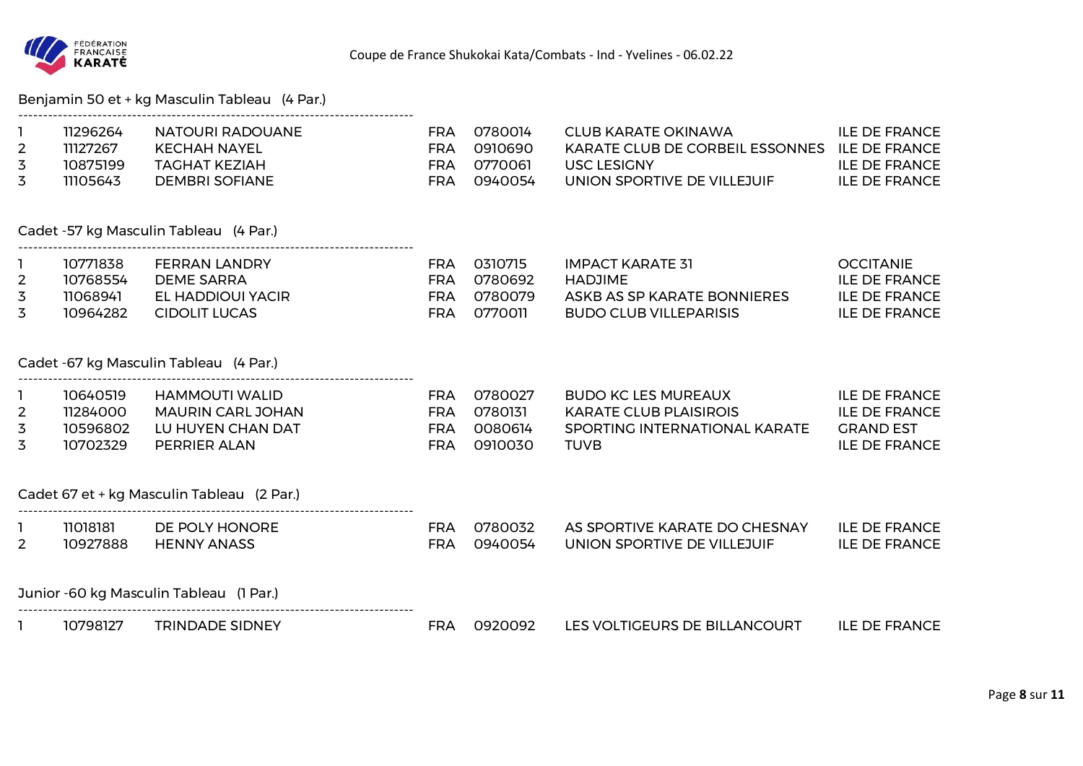

## Benjamin 50 et + kg Masculin Tableau (4 Par.)

|   | 11296264 | NATOURI RADOUANE | FRA | 0780014  | CI UR KARATE OKINAWA                            | <b>ILE DE FRANCE</b> |
|---|----------|------------------|-----|----------|-------------------------------------------------|----------------------|
|   | 11127267 | KECHAH NAYEL     | FRA | _0910690 | KARATE CLUB DE CORBEIL ESSONNES . ILE DE FRANCE |                      |
|   | 10875199 | TAGHAT KEZIAH    | FRA | 0770061  | USC LESIGNY                                     | <b>ILE DE FRANCE</b> |
| 3 | 11105643 | DEMBRI SOFIANE   | FRA | 0940054  | UNION SPORTIVE DE VILLEJUIF                     | <b>ILE DE FRANCE</b> |

Cadet -57 kg Masculin Tableau (4 Par.)

| 10771838 | FERRAN LANDRY     | FRA | 0310715 | IMPACT KARATE 31            | <b>OCCITANIE</b> |
|----------|-------------------|-----|---------|-----------------------------|------------------|
| 10768554 | DEME SARRA        | FRA | 0780692 | HADJIMF.                    | ILE DE FRANCE    |
| 11068941 | EL HADDIOUI YACIR | FRA | 0780079 | ASKB AS SP KARATE BONNIERES | ILE DE FRANCE    |
| 10964282 | CIDOLIT LUCAS     | FRA | 0770011 | BUDO CLUB VILLEPARISIS      | ILE DE FRANCE    |

### Cadet -67 kg Masculin Tableau (4 Par.)

--------------------------------------------------------------------------------

--------------------------------------------------------------------------------

--------------------------------------------------------------------------------

| <b>ILE DE FRANCE</b><br>BUDO KC LES MUREAUX    |
|------------------------------------------------|
| <b>ILE DE FRANCE</b><br>KARATE CLUB PLAISIROIS |
| SPORTING INTERNATIONAL KARATE<br>GRAND FST     |
| <b>ILE DE FRANCE</b>                           |
|                                                |

Cadet 67 et + kg Masculin Tableau (2 Par.)

| 11018181 | DE POLY HONORE     | 0780032 | AS SPORTIVE KARATE DO CHESNAY | ILE DE FRANCE        |
|----------|--------------------|---------|-------------------------------|----------------------|
| 10927888 | <b>HENNY ANASS</b> | 0940054 | UNION SPORTIVE DE VILLEJUIF   | <b>ILE DE FRANCE</b> |

Junior -60 kg Masculin Tableau (1 Par.)

| 10798127 | TRINDADE SIDNEY | 0920092 | LES VOLTIGEURS DE BILLANCOURT | <b>ILE DE FRANCE</b> |
|----------|-----------------|---------|-------------------------------|----------------------|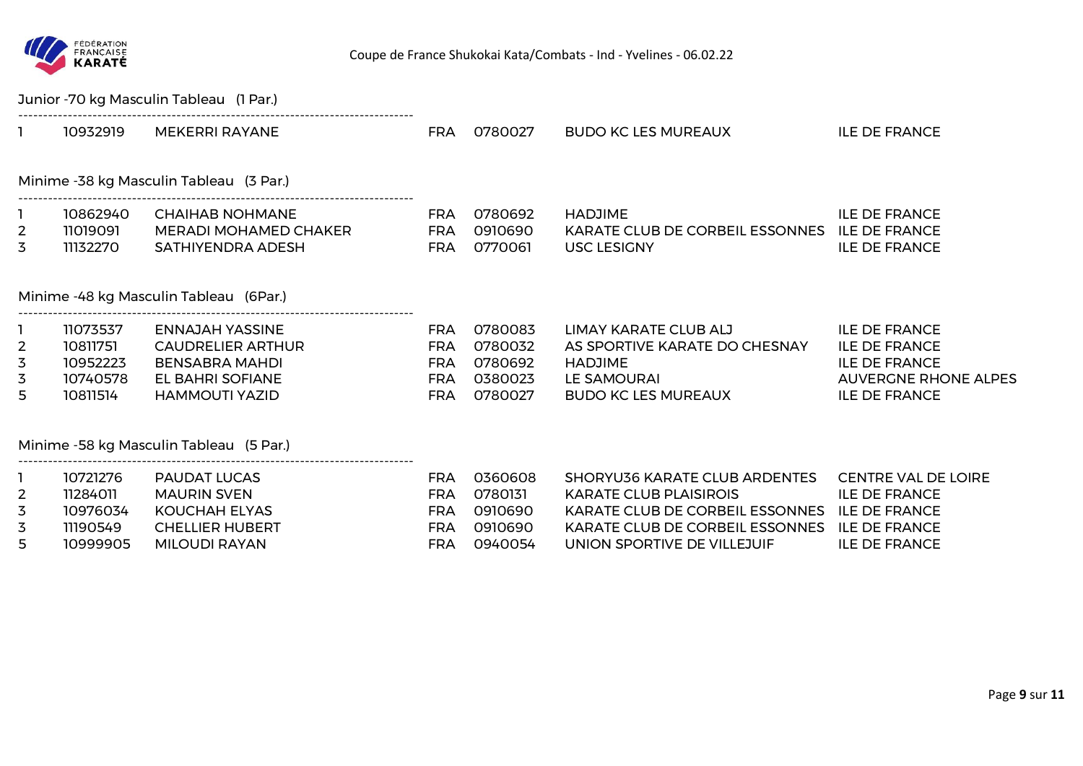

|                                |                      | Junior -70 kg Masculin Tableau (1 Par.)         |                   |                        |                                                                 |                                                     |
|--------------------------------|----------------------|-------------------------------------------------|-------------------|------------------------|-----------------------------------------------------------------|-----------------------------------------------------|
|                                | 10932919             | MEKERRI RAYANE                                  |                   | FRA 0780027            | <b>BUDO KC LES MUREAUX</b>                                      | <b>ILE DE FRANCE</b>                                |
|                                |                      | Minime -38 kg Masculin Tableau (3 Par.)         |                   |                        |                                                                 |                                                     |
| $\mathbf{1}$<br>$\overline{2}$ | 10862940<br>11019091 | <b>CHAIHAB NOHMANE</b><br>MERADI MOHAMED CHAKER | FRA               | 0780692<br>FRA 0910690 | <b>HADJIME</b><br>KARATE CLUB DE CORBEIL ESSONNES ILE DE FRANCE | <b>ILE DE FRANCE</b>                                |
| 3                              | 11132270             | SATHIYENDRA ADESH                               | FRA               | 0770061                | <b>USC LESIGNY</b>                                              | <b>ILE DE FRANCE</b>                                |
|                                |                      | Minime -48 kg Masculin Tableau (6Par.)          |                   |                        |                                                                 |                                                     |
|                                | 11073537             | ENNAJAH YASSINE                                 | FRA               | 0780083                | LIMAY KARATE CLUB ALJ                                           | <b>ILE DE FRANCE</b>                                |
| $\overline{2}$                 | 10811751             | <b>CAUDRELIER ARTHUR</b>                        | FRA               | 0780032                | AS SPORTIVE KARATE DO CHESNAY                                   | <b>ILE DE FRANCE</b>                                |
| 3                              | 10952223             | <b>BENSABRA MAHDI</b>                           | FRA               | 0780692                | <b>HADJIME</b>                                                  | <b>ILE DE FRANCE</b>                                |
| 3<br>5                         | 10740578<br>10811514 | EL BAHRI SOFIANE<br><b>HAMMOUTI YAZID</b>       | FRA<br><b>FRA</b> | 0380023<br>0780027     | LE SAMOURAI<br>BUDO KC LES MUREAUX                              | <b>AUVERGNE RHONE ALPES</b><br><b>ILE DE FRANCE</b> |
|                                |                      | Minime -58 kg Masculin Tableau (5 Par.)         |                   |                        |                                                                 |                                                     |
|                                | 10721276             | PAUDAT LUCAS                                    | <b>FRA</b>        | 0360608                | SHORYU36 KARATE CLUB ARDENTES                                   | <b>CENTRE VAL DE LOIRE</b>                          |
| $\overline{2}$                 | 11284011             | <b>MAURIN SVEN</b>                              | <b>FRA</b>        | 0780131                | <b>KARATE CLUB PLAISIROIS</b>                                   | <b>ILE DE FRANCE</b>                                |
| 3                              | 10976034             | <b>KOUCHAH ELYAS</b>                            | <b>FRA</b>        | 0910690                | KARATE CLUB DE CORBEIL ESSONNES ILE DE FRANCE                   |                                                     |
| 3                              | 11190549             | <b>CHELLIER HUBERT</b>                          | <b>FRA</b>        | 0910690                | KARATE CLUB DE CORBEIL ESSONNES                                 | <b>ILE DE FRANCE</b>                                |
| 5                              | 10999905             | <b>MILOUDI RAYAN</b>                            | <b>FRA</b>        | 0940054                | UNION SPORTIVE DE VILLEJUIF                                     | <b>ILE DE FRANCE</b>                                |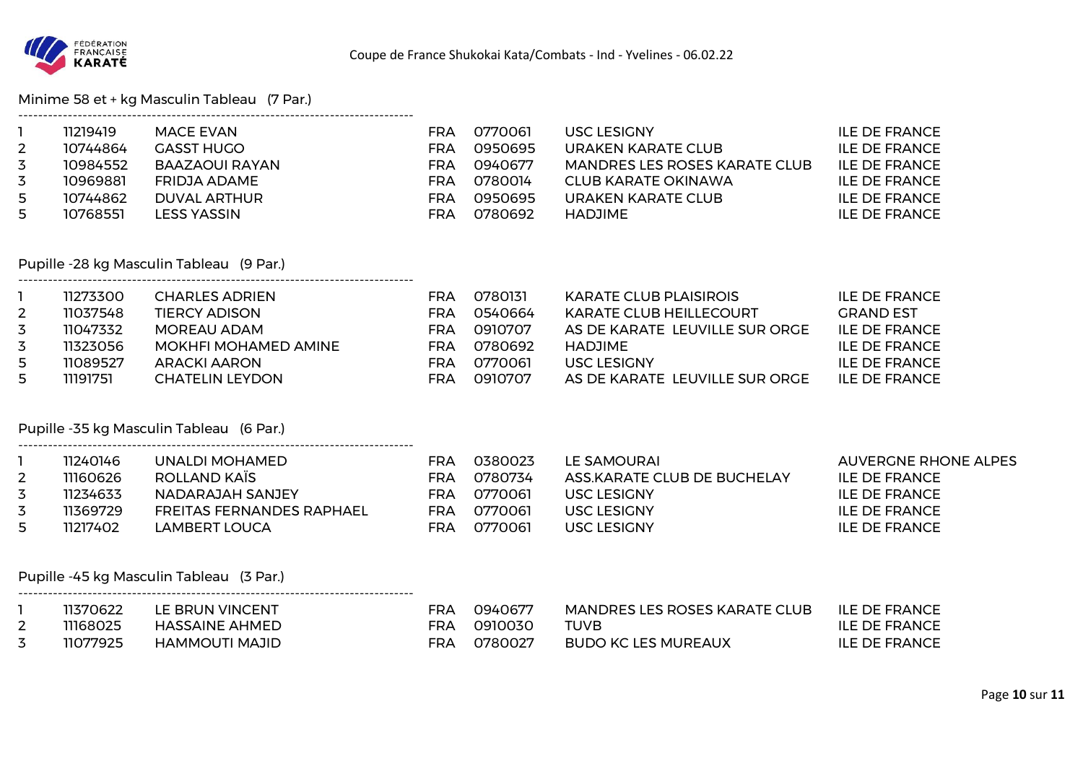

# Minime 58 et + kg Masculin Tableau (7 Par.)

|                     | 11219419<br>10744864 | <b>MACE EVAN</b><br><b>GASST HUGO</b>               | <b>FRA</b><br><b>FRA</b> | 0770061<br>0950695 | USC LESIGNY AND THE STATE OF THE STATE OF THE STATE OF THE STATE OF THE STATE OF THE STATE OF THE STATE OF THE<br>URAKEN KARATE CLUB | <b>ILE DE FRANCE</b><br><b>ILE DE FRANCE</b> |
|---------------------|----------------------|-----------------------------------------------------|--------------------------|--------------------|--------------------------------------------------------------------------------------------------------------------------------------|----------------------------------------------|
| $\overline{2}$<br>3 | 10984552             | BAAZAOUI RAYAN                                      | <b>FRA</b>               | 0940677            | MANDRES LES ROSES KARATE CLUB                                                                                                        | <b>ILE DE FRANCE</b>                         |
| 3                   | 10969881             | <b>FRIDJA ADAME</b>                                 | FRA                      | 0780014            | <b>CLUB KARATE OKINAWA</b>                                                                                                           | <b>ILE DE FRANCE</b>                         |
| 5                   | 10744862             | <b>DUVAL ARTHUR</b>                                 | FRA                      | 0950695            | URAKEN KARATE CLUB                                                                                                                   | <b>ILE DE FRANCE</b>                         |
| 5                   | 10768551             | <b>LESS YASSIN</b>                                  | <b>FRA</b>               | 0780692            | <b>HADJIME</b>                                                                                                                       | <b>ILE DE FRANCE</b>                         |
|                     |                      |                                                     |                          |                    |                                                                                                                                      |                                              |
|                     |                      | Pupille -28 kg Masculin Tableau (9 Par.)            |                          |                    |                                                                                                                                      |                                              |
|                     | 11273300             | CHARLES ADRIEN                                      |                          | FRA 0780131        | KARATE CLUB PLAISIROIS                                                                                                               | <b>ILE DE FRANCE</b>                         |
| $\overline{2}$      | 11037548             | <b>TIERCY ADISON</b>                                | FRA                      | 0540664            | KARATE CLUB HEILLECOURT                                                                                                              | <b>GRAND EST</b>                             |
| 3                   | 11047332             | <b>MOREAU ADAM</b><br><u>ERA ERA ERRA ERRA ERRA</u> |                          | 0910707            | AS DE KARATE LEUVILLE SUR ORGE                                                                                                       | <b>ILE DE FRANCE</b>                         |
| $\overline{5}$      | 11323056             | MOKHFI MOHAMED AMINE                                | FRA                      | 0780692            | <b>HADJIME</b>                                                                                                                       | <b>ILE DE FRANCE</b>                         |
| 5                   | 11089527             | <b>ARACKI AARON</b>                                 | FRA                      | 0770061            | USC LESIGNY <b>SECURE AN ALIMENT</b>                                                                                                 | <b>ILE DE FRANCE</b>                         |
| 5                   | 11191751             | <b>CHATELIN LEYDON</b>                              | FRA                      | 0910707            | AS DE KARATE LEUVILLE SUR ORGE                                                                                                       | <b>ILE DE FRANCE</b>                         |
|                     |                      | Pupille -35 kg Masculin Tableau (6 Par.)            |                          |                    |                                                                                                                                      |                                              |
|                     | 11240146             | UNALDI MOHAMED                                      | FRA                      | 0380023            | LE SAMOURAI                                                                                                                          | <b>AUVERGNE RHONE ALPES</b>                  |
| $\overline{2}$      | 11160626             | <b>ERA</b> 0780734<br><b>ROLLAND KAÏS</b>           |                          |                    | ASS.KARATE CLUB DE BUCHELAY                                                                                                          | <b>ILE DE FRANCE</b>                         |
| $\overline{3}$      | 11234633             | NADARAJAH SANJEY                                    |                          | FRA 0770061        | <b>USC LESIGNY</b>                                                                                                                   | <b>ILE DE FRANCE</b>                         |
| 3                   | 11369729             | FREITAS FERNANDES RAPHAEL                           | FRA                      | 0770061            | USC LESIGNY                                                                                                                          | <b>ILE DE FRANCE</b>                         |
| 5                   | 11217402             | <b>LAMBERT LOUCA</b>                                | <b>FRA</b>               | 0770061            | <b>USC LESIGNY</b>                                                                                                                   | <b>ILE DE FRANCE</b>                         |
|                     |                      |                                                     |                          |                    |                                                                                                                                      |                                              |
|                     |                      | Pupille -45 kg Masculin Tableau (3 Par.)            |                          |                    |                                                                                                                                      |                                              |
| $\mathbf{1}$        | 11370622             | LE BRUN VINCENT                                     | FRA                      | 0940677            | MANDRES LES ROSES KARATE CLUB                                                                                                        | <b>ILE DE FRANCE</b>                         |
| $\overline{2}$      | 11168025             | <b>HASSAINE AHMED</b>                               | <b>FRA</b>               | 0910030            | <b>TUVB</b>                                                                                                                          | <b>ILE DE FRANCE</b>                         |
| 3                   | 11077925             | HAMMOUTI MAJID                                      | <b>FRA</b>               | 0780027            | <b>BUDO KC LES MUREAUX</b>                                                                                                           | <b>ILE DE FRANCE</b>                         |